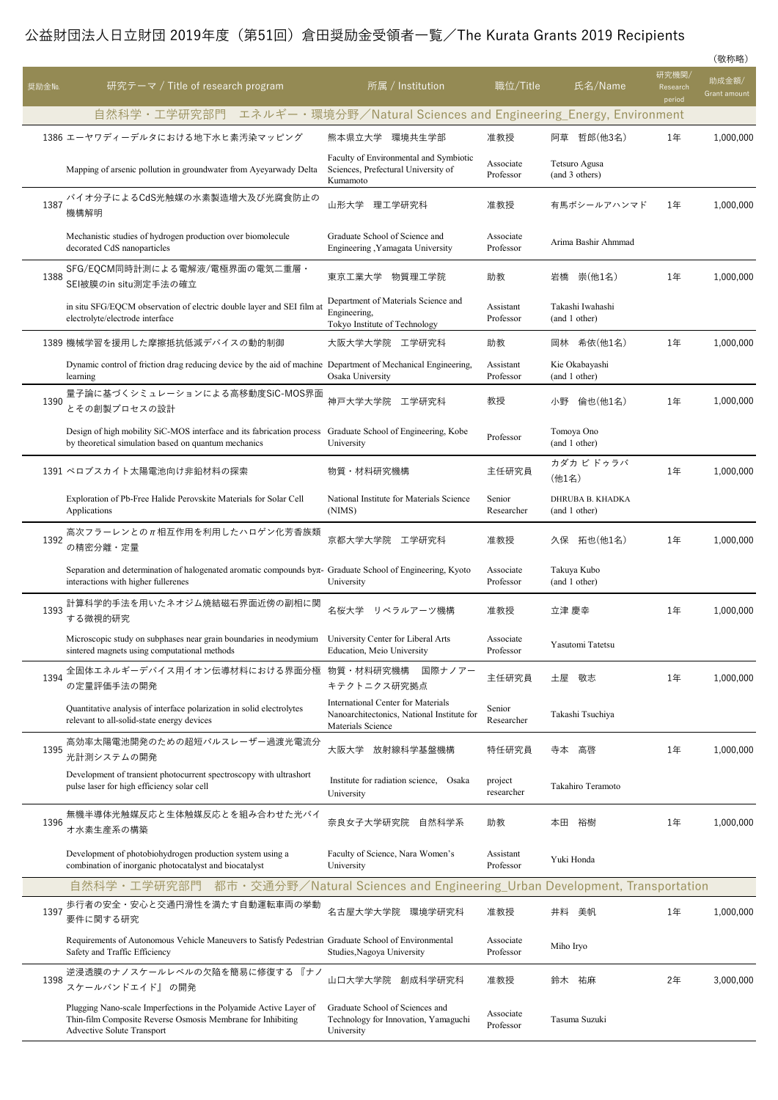## 公益財団法人日立財団 2019年度 (第51回) 倉田奨励金受領者一覧/The Kurata Grants 2019 Recipients

|        |                                                                                                                                                                 |                                                                                                              |                        |                                   |                             | (敬称略)                 |
|--------|-----------------------------------------------------------------------------------------------------------------------------------------------------------------|--------------------------------------------------------------------------------------------------------------|------------------------|-----------------------------------|-----------------------------|-----------------------|
| 奨励金No. | 研究テーマ / Title of research program                                                                                                                               | 所属 / Institution                                                                                             | 職位/Title               | 氏名/Name                           | 研究機関/<br>Research<br>period | 助成金額/<br>Grant amount |
|        | 自然科学・工学研究部門                                                                                                                                                     | エネルギー・環境分野/Natural Sciences and Engineering_Energy, Environment                                              |                        |                                   |                             |                       |
|        | 1386 エーヤワディーデルタにおける地下水ヒ素汚染マッピング                                                                                                                                 | 熊本県立大学<br>環境共生学部                                                                                             | 准教授                    | 阿草 哲郎(他3名)                        | 1年                          | 1,000,000             |
|        | Mapping of arsenic pollution in groundwater from Ayeyarwady Delta                                                                                               | Faculty of Environmental and Symbiotic<br>Sciences, Prefectural University of<br>Kumamoto                    | Associate<br>Professor | Tetsuro Agusa<br>(and 3 others)   |                             |                       |
| 1387   | バイオ分子によるCdS光触媒の水素製造増大及び光腐食防止の<br>機構解明                                                                                                                           | 山形大学 理工学研究科                                                                                                  | 准教授                    | 有馬ボシールアハンマド                       | 1年                          | 1,000,000             |
|        | Mechanistic studies of hydrogen production over biomolecule<br>decorated CdS nanoparticles                                                                      | Graduate School of Science and<br>Engineering , Yamagata University                                          | Associate<br>Professor | Arima Bashir Ahmmad               |                             |                       |
| 1388   | SFG/EQCM同時計測による電解液/電極界面の電気二重層・<br>SEI被膜のin situ測定手法の確立                                                                                                          | 東京工業大学<br>物質理工学院                                                                                             | 助教                     | 崇(他1名)<br>岩橋                      | 1年                          | 1,000,000             |
|        | in situ SFG/EQCM observation of electric double layer and SEI film at<br>electrolyte/electrode interface                                                        | Department of Materials Science and<br>Engineering,<br>Tokyo Institute of Technology                         | Assistant<br>Professor | Takashi Iwahashi<br>(and 1 other) |                             |                       |
|        | 1389 機械学習を援用した摩擦抵抗低減デバイスの動的制御                                                                                                                                   | 大阪大学大学院<br>工学研究科                                                                                             | 助教                     | 希依(他1名)<br>岡林                     | 1年                          | 1,000,000             |
|        | Dynamic control of friction drag reducing device by the aid of machine Department of Mechanical Engineering,<br>learning                                        | Osaka University                                                                                             | Assistant<br>Professor | Kie Okabayashi<br>(and 1 other)   |                             |                       |
| 1390   | 量子論に基づくシミュレーションによる高移動度SiC-MOS界面<br>とその創製プロセスの設計                                                                                                                 | 神戸大学大学院<br>工学研究科                                                                                             | 教授                     | 倫也(他1名)<br>小野                     | 1年                          | 1,000,000             |
|        | Design of high mobility SiC-MOS interface and its fabrication process<br>by theoretical simulation based on quantum mechanics                                   | Graduate School of Engineering, Kobe<br>University                                                           | Professor              | Tomoya Ono<br>(and 1 other)       |                             |                       |
|        | 1391 ペロブスカイト太陽電池向け非鉛材料の探索                                                                                                                                       | 物質・材料研究機構                                                                                                    | 主任研究員                  | カダカ ビ ドゥラバ<br>(他1名)               | 1年                          | 1,000,000             |
|        | Exploration of Pb-Free Halide Perovskite Materials for Solar Cell<br>Applications                                                                               | National Institute for Materials Science<br>(NIMS)                                                           | Senior<br>Researcher   | DHRUBA B. KHADKA<br>(and 1 other) |                             |                       |
| 1392   | 高次フラーレンとのπ相互作用を利用したハロゲン化芳香族類<br>の精密分離・定量                                                                                                                        | 京都大学大学院<br>工学研究科                                                                                             | 准教授                    | 拓也(他1名)<br>久保                     | 1年                          | 1,000,000             |
|        | Separation and determination of halogenated aromatic compounds byπ- Graduate School of Engineering, Kyoto<br>interactions with higher fullerenes                | University                                                                                                   | Associate<br>Professor | Takuya Kubo<br>(and 1 other)      |                             |                       |
| 1393   | 計算科学的手法を用いたネオジム焼結磁石界面近傍の副相に関<br>する微視的研究                                                                                                                         | 名桜大学<br>リベラルアーツ機構                                                                                            | 准教授                    | 立津 慶幸                             | 1年                          | 1,000,000             |
|        | Microscopic study on subphases near grain boundaries in neodymium University Center for Liberal Arts<br>sintered magnets using computational methods            | Education, Meio University                                                                                   | Associate<br>Professor | Yasutomi Tatetsu                  |                             |                       |
| 1394   | 全固体エネルギーデバイス用イオン伝導材料における界面分極<br>の定量評価手法の開発                                                                                                                      | 物質・材料研究機構<br>国際ナノアー<br>キテクトニクス研究拠点                                                                           | 主任研究員                  | 敬志<br>土屋                          | 1年                          | 1,000,000             |
|        | Quantitative analysis of interface polarization in solid electrolytes<br>relevant to all-solid-state energy devices                                             | <b>International Center for Materials</b><br>Nanoarchitectonics, National Institute for<br>Materials Science | Senior<br>Researcher   | Takashi Tsuchiya                  |                             |                       |
| 1395   | 高効率太陽電池開発のための超短パルスレーザー過渡光電流分<br>光計測システムの開発                                                                                                                      | 大阪大学<br>放射線科学基盤機構                                                                                            | 特任研究員                  | 高啓<br>寺本                          | 1年                          | 1,000,000             |
|        | Development of transient photocurrent spectroscopy with ultrashort<br>pulse laser for high efficiency solar cell                                                | Institute for radiation science, Osaka<br>University                                                         | project<br>researcher  | Takahiro Teramoto                 |                             |                       |
| 1396   | 無機半導体光触媒反応と生体触媒反応とを組み合わせた光バイ<br>オ水素生産系の構築                                                                                                                       | 奈良女子大学研究院<br>自然科学系                                                                                           | 助教                     | 本田<br>裕樹                          | 1年                          | 1,000,000             |
|        | Development of photobiohydrogen production system using a<br>combination of inorganic photocatalyst and biocatalyst                                             | Faculty of Science, Nara Women's<br>University                                                               | Assistant<br>Professor | Yuki Honda                        |                             |                       |
|        | 自然科学·工学研究部門                                                                                                                                                     | 都市 · 交通分野/Natural Sciences and Engineering_Urban Development, Transportation                                 |                        |                                   |                             |                       |
| 1397   | 歩行者の安全・安心と交通円滑性を満たす自動運転車両の挙動<br>要件に関する研究                                                                                                                        | 名古屋大学大学院<br>環境学研究科                                                                                           | 准教授                    | 井料<br>美帆                          | 1年                          | 1,000,000             |
|        | Requirements of Autonomous Vehicle Maneuvers to Satisfy Pedestrian Graduate School of Environmental<br>Safety and Traffic Efficiency                            | Studies, Nagoya University                                                                                   | Associate<br>Professor | Miho Iryo                         |                             |                       |
| 1398   | 逆浸透膜のナノスケールレベルの欠陥を簡易に修復する 『ナノ<br>スケールバンドエイド』の開発                                                                                                                 | 創成科学研究科<br>山口大学大学院                                                                                           | 准教授                    | 鈴木<br>祐麻                          | 2年                          | 3,000,000             |
|        | Plugging Nano-scale Imperfections in the Polyamide Active Layer of<br>Thin-film Composite Reverse Osmosis Membrane for Inhibiting<br>Advective Solute Transport | Graduate School of Sciences and<br>Technology for Innovation, Yamaguchi<br>University                        | Associate<br>Professor | Tasuma Suzuki                     |                             |                       |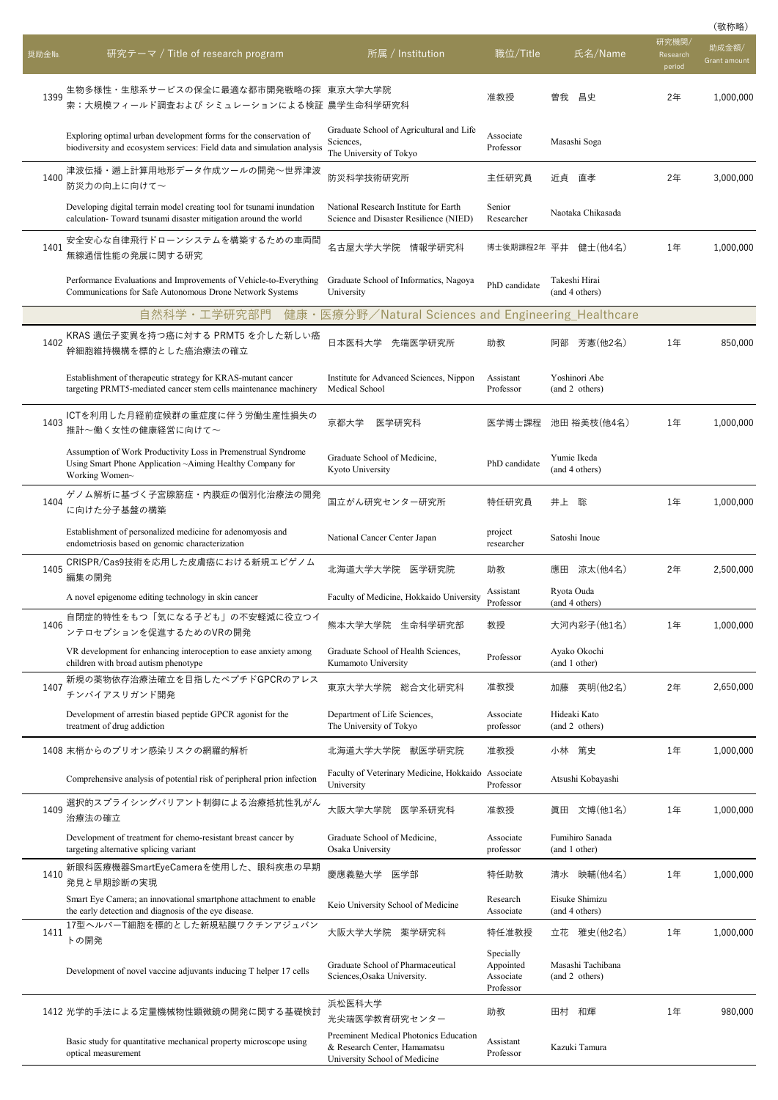|        |                                                                                                                                              |                                                                                                         |                                                  |                  |                                     |                             | (敬称略)                 |
|--------|----------------------------------------------------------------------------------------------------------------------------------------------|---------------------------------------------------------------------------------------------------------|--------------------------------------------------|------------------|-------------------------------------|-----------------------------|-----------------------|
| 奨励金No. | 研究テーマ / Title of research program                                                                                                            | 所属 / Institution                                                                                        | 職位/Title                                         |                  | 氏名/Name                             | 研究機関/<br>Research<br>period | 助成金額/<br>Grant amount |
| 1399   | 生物多様性・生態系サービスの保全に最適な都市開発戦略の探 東京大学大学院<br>索:大規模フィールド調査および シミュレーションによる検証 農学生命科学研究科                                                              |                                                                                                         | 准教授                                              | 曽我               | 昌史                                  | 2年                          | 1.000.000             |
|        | Exploring optimal urban development forms for the conservation of<br>biodiversity and ecosystem services: Field data and simulation analysis | Graduate School of Agricultural and Life<br>Sciences,<br>The University of Tokyo                        | Associate<br>Professor                           |                  | Masashi Soga                        |                             |                       |
| 1400   | 津波伝播・遡上計算用地形データ作成ツールの開発~世界津波<br>防災力の向上に向けて~                                                                                                  | 防災科学技術研究所                                                                                               | 主任研究員                                            | 近貞               | 直孝                                  | 2年                          | 3,000,000             |
|        | Developing digital terrain model creating tool for tsunami inundation<br>calculation-Toward tsunami disaster mitigation around the world     | National Research Institute for Earth<br>Science and Disaster Resilience (NIED)                         | Senior<br>Researcher                             |                  | Naotaka Chikasada                   |                             |                       |
| 1401   | 安全安心な自律飛行ドローンシステムを構築するための車両間<br>無線通信性能の発展に関する研究                                                                                              | 名古屋大学大学院 情報学研究科                                                                                         | 博士後期課程2年 平井                                      |                  | 健士(他4名)                             | 1年                          | 1,000,000             |
|        | Performance Evaluations and Improvements of Vehicle-to-Everything<br>Communications for Safe Autonomous Drone Network Systems                | Graduate School of Informatics, Nagoya<br>University                                                    | PhD candidate                                    |                  | Takeshi Hirai<br>(and 4 others)     |                             |                       |
|        | 自然科学・工学研究部門<br>健康                                                                                                                            | 医療分野/Natural Sciences and Engineering_Healthcare                                                        |                                                  |                  |                                     |                             |                       |
| 1402   | KRAS 遺伝子変異を持つ癌に対する PRMT5 を介した新しい癌<br>幹細胞維持機構を標的とした癌治療法の確立                                                                                    | 日本医科大学<br>先端医学研究所                                                                                       | 助教                                               | 阿部               | 芳憲(他2名)                             | 1年                          | 850,000               |
|        | Establishment of therapeutic strategy for KRAS-mutant cancer<br>targeting PRMT5-mediated cancer stem cells maintenance machinery             | Institute for Advanced Sciences, Nippon<br>Medical School                                               | Assistant<br>Professor                           |                  | Yoshinori Abe<br>(and 2 others)     |                             |                       |
| 1403   | ICTを利用した月経前症候群の重症度に伴う労働生産性損失の<br>推計~働く女性の健康経営に向けて~                                                                                           | 京都大学<br>医学研究科                                                                                           | 医学博士課程                                           |                  | 池田 裕美枝(他4名)                         | 1年                          | 1,000,000             |
|        | Assumption of Work Productivity Loss in Premenstrual Syndrome<br>Using Smart Phone Application ~Aiming Healthy Company for<br>Working Women~ | Graduate School of Medicine,<br>Kyoto University                                                        | PhD candidate                                    |                  | Yumie Ikeda<br>(and 4 others)       |                             |                       |
| 1404   | ゲノム解析に基づく子宮腺筋症・内膜症の個別化治療法の開発<br>に向けた分子基盤の構築                                                                                                  | 国立がん研究センター研究所                                                                                           | 特任研究員                                            | 井上               | 聡                                   | 1年                          | 1,000,000             |
|        | Establishment of personalized medicine for adenomyosis and<br>endometriosis based on genomic characterization                                | National Cancer Center Japan                                                                            | project<br>researcher                            |                  | Satoshi Inoue                       |                             |                       |
| 1405   | CRISPR/Cas9技術を応用した皮膚癌における新規エピゲノム<br>編集の開発                                                                                                    | 北海道大学大学院 医学研究院                                                                                          | 助教<br>Assistant                                  | 應田<br>Ryota Ouda | 涼太(他4名)                             | 2年                          | 2,500,000             |
|        | A novel epigenome editing technology in skin cancer                                                                                          | Faculty of Medicine, Hokkaido University                                                                | Professor                                        |                  | (and 4 others)                      |                             |                       |
| 1406   | 自閉症的特性をもつ「気になる子ども」の不安軽減に役立つイ<br>ンテロセプションを促進するためのVRの開発                                                                                        | 熊本大学大学院<br>生命科学研究部                                                                                      | 教授                                               |                  | 大河内彩子(他1名)                          | 1年                          | 1,000,000             |
|        | VR development for enhancing interoception to ease anxiety among<br>children with broad autism phenotype                                     | Graduate School of Health Sciences,<br>Kumamoto University                                              | Professor                                        |                  | Ayako Okochi<br>(and 1 other)       |                             |                       |
| 1407   | 新規の薬物依存治療法確立を目指したペプチドGPCRのアレス<br>チンバイアスリガンド開発                                                                                                | 東京大学大学院<br>総合文化研究科                                                                                      | 准教授                                              | 加藤               | 英明(他2名)                             | 2年                          | 2,650,000             |
|        | Development of arrestin biased peptide GPCR agonist for the<br>treatment of drug addiction                                                   | Department of Life Sciences,<br>The University of Tokyo                                                 | Associate<br>professor                           |                  | Hideaki Kato<br>(and 2 others)      |                             |                       |
|        | 1408 末梢からのプリオン感染リスクの網羅的解析                                                                                                                    | 北海道大学大学院<br>獣医学研究院                                                                                      | 准教授                                              | 小林               | 篤史                                  | 1年                          | 1.000.000             |
|        | Comprehensive analysis of potential risk of peripheral prion infection                                                                       | Faculty of Veterinary Medicine, Hokkaido Associate<br>University                                        | Professor                                        |                  | Atsushi Kobayashi                   |                             |                       |
| 1409   | 選択的スプライシングバリアント制御による治療抵抗性乳がん<br>治療法の確立                                                                                                       | 大阪大学大学院<br>医学系研究科                                                                                       | 准教授                                              | 眞田               | 文博(他1名)                             | 1年                          | 1,000,000             |
|        | Development of treatment for chemo-resistant breast cancer by<br>targeting alternative splicing variant                                      | Graduate School of Medicine,<br>Osaka University                                                        | Associate<br>professor                           |                  | Fumihiro Sanada<br>(and 1 other)    |                             |                       |
| 1410   | 新眼科医療機器SmartEyeCameraを使用した、眼科疾患の早期<br>発見と早期診断の実現                                                                                             | 慶應義塾大学<br>医学部                                                                                           | 特任助教                                             | 清水               | 映輔(他4名)                             | 1年                          | 1,000,000             |
|        | Smart Eye Camera; an innovational smartphone attachment to enable<br>the early detection and diagnosis of the eye disease.                   | Keio University School of Medicine                                                                      | Research<br>Associate                            |                  | Eisuke Shimizu<br>(and 4 others)    |                             |                       |
| 1411   | 17型ヘルパーT細胞を標的とした新規粘膜ワクチンアジュバン<br>トの開発                                                                                                        | 大阪大学大学院<br>薬学研究科                                                                                        | 特任准教授                                            | 立花               | 雅史(他2名)                             | 1年                          | 1,000,000             |
|        | Development of novel vaccine adjuvants inducing T helper 17 cells                                                                            | Graduate School of Pharmaceutical<br>Sciences, Osaka University.                                        | Specially<br>Appointed<br>Associate<br>Professor |                  | Masashi Tachibana<br>(and 2 others) |                             |                       |
|        | 1412 光学的手法による定量機械物性顕微鏡の開発に関する基礎検討                                                                                                            | 浜松医科大学<br>光尖端医学教育研究センター                                                                                 | 助教                                               | 田村               | 和輝                                  | 1年                          | 980,000               |
|        | Basic study for quantitative mechanical property microscope using<br>optical measurement                                                     | Preeminent Medical Photonics Education<br>& Research Center, Hamamatsu<br>University School of Medicine | Assistant<br>Professor                           |                  | Kazuki Tamura                       |                             |                       |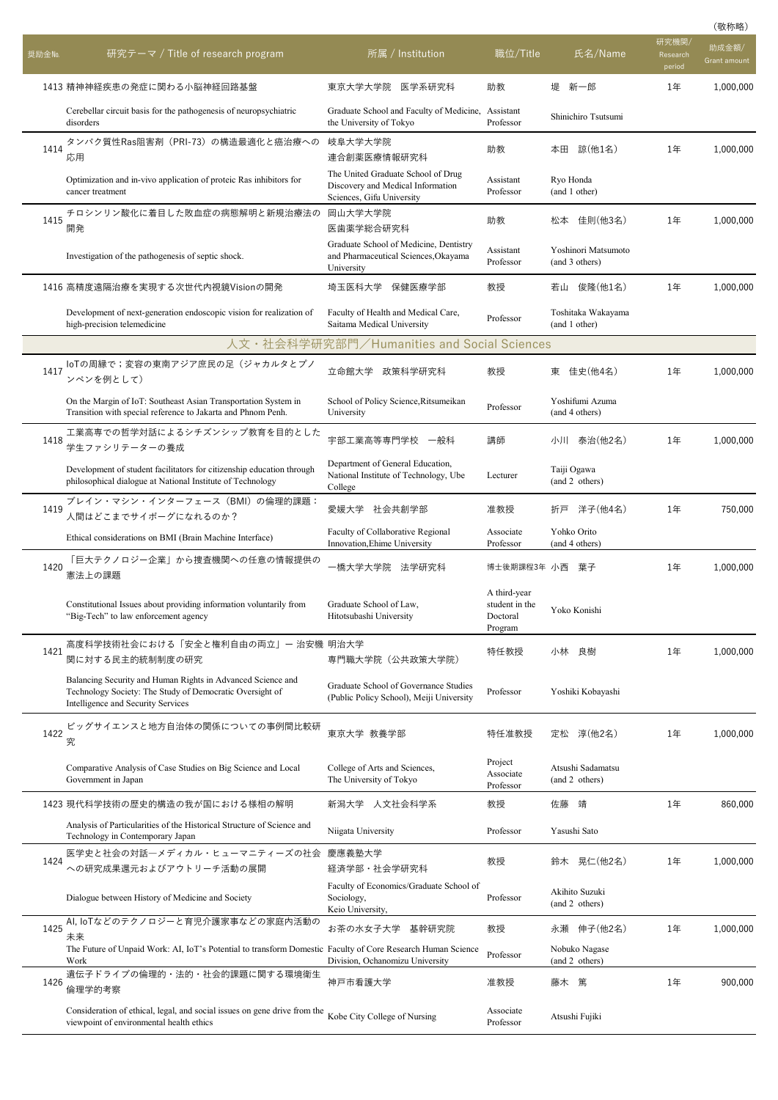| 奨励金No. | 研究テーマ / Title of research program                                                                                                                             | 所属 / Institution                                                                                     | <u> 職位/Title</u>                                      | 氏名/Name                               | 研究機関,<br>Research<br>period | 助成金額/<br>Grant amount |
|--------|---------------------------------------------------------------------------------------------------------------------------------------------------------------|------------------------------------------------------------------------------------------------------|-------------------------------------------------------|---------------------------------------|-----------------------------|-----------------------|
|        | 1413 精神神経疾患の発症に関わる小脳神経回路基盤                                                                                                                                    | 東京大学大学院<br>医学系研究科                                                                                    | 助教                                                    | 新一郎<br>堤                              | 1年                          | 1,000,000             |
|        | Cerebellar circuit basis for the pathogenesis of neuropsychiatric<br>disorders                                                                                | Graduate School and Faculty of Medicine, Assistant<br>the University of Tokyo                        | Professor                                             | Shinichiro Tsutsumi                   |                             |                       |
| 1414   | タンパク質性Ras阻害剤(PRI-73)の構造最適化と癌治療への<br>応用                                                                                                                        | 岐阜大学大学院<br>連合創薬医療情報研究科                                                                               | 助教                                                    | 諒(他1名)<br>本田                          | 1年                          | 1,000,000             |
|        | Optimization and in-vivo application of proteic Ras inhibitors for<br>cancer treatment                                                                        | The United Graduate School of Drug<br>Discovery and Medical Information<br>Sciences, Gifu University | Assistant<br>Professor                                | Ryo Honda<br>(and 1 other)            |                             |                       |
| 1415   | チロシンリン酸化に着目した敗血症の病態解明と新規治療法の<br>開発                                                                                                                            | 岡山大学大学院<br>医歯薬学総合研究科                                                                                 | 助教                                                    | 佳則(他3名)<br>松本                         | 1年                          | 1,000,000             |
|        | Investigation of the pathogenesis of septic shock.                                                                                                            | Graduate School of Medicine, Dentistry<br>and Pharmaceutical Sciences, Okayama<br>University         | Assistant<br>Professor                                | Yoshinori Matsumoto<br>(and 3 others) |                             |                       |
|        | 1416 高精度遠隔治療を実現する次世代内視鏡Visionの開発                                                                                                                              | 保健医療学部<br>埼玉医科大学                                                                                     | 教授                                                    | 若山 俊隆(他1名)                            | 1年                          | 1,000,000             |
|        | Development of next-generation endoscopic vision for realization of<br>high-precision telemedicine                                                            | Faculty of Health and Medical Care,<br>Saitama Medical University                                    | Professor                                             | Toshitaka Wakayama<br>(and 1 other)   |                             |                       |
|        |                                                                                                                                                               | 人文・社会科学研究部門/Humanities and Social Sciences                                                           |                                                       |                                       |                             |                       |
| 1417   | IoTの周縁で;変容の東南アジア庶民の足(ジャカルタとプノ<br>ンペンを例として)                                                                                                                    | 立命館大学<br>政策科学研究科                                                                                     | 教授                                                    | 東 佳史(他4名)                             | 1年                          | 1,000,000             |
|        | On the Margin of IoT: Southeast Asian Transportation System in<br>Transition with special reference to Jakarta and Phnom Penh.                                | School of Policy Science, Ritsumeikan<br>University                                                  | Professor                                             | Yoshifumi Azuma<br>(and 4 others)     |                             |                       |
| 1418   | 工業高専での哲学対話によるシチズンシップ教育を目的とした<br>学生ファシリテーターの養成                                                                                                                 | 宇部工業高等専門学校<br>一般科                                                                                    | 講師                                                    | 泰治(他2名)<br>小川                         | 1年                          | 1,000,000             |
|        | Development of student facilitators for citizenship education through<br>philosophical dialogue at National Institute of Technology                           | Department of General Education,<br>National Institute of Technology, Ube<br>College                 | Lecturer                                              | Taiji Ogawa<br>(and 2 others)         |                             |                       |
| 1419   | ブレイン・マシン・インターフェース(BMI)の倫理的課題:<br>人間はどこまでサイボーグになれるのか?                                                                                                          | 愛媛大学 社会共創学部                                                                                          | 准教授                                                   | 洋子(他4名)<br>折戸                         | 1年                          | 750,000               |
|        | Ethical considerations on BMI (Brain Machine Interface)                                                                                                       | Faculty of Collaborative Regional<br>Innovation, Ehime University                                    | Associate<br>Professor                                | Yohko Orito<br>(and 4 others)         |                             |                       |
| 1420   | 「巨大テクノロジー企業」から捜査機関への任意の情報提供の<br>憲法上の課題                                                                                                                        | 一橋大学大学院 法学研究科                                                                                        | 博士後期課程3年 小西                                           | 葉子                                    | 1年                          | 1,000,000             |
|        | Constitutional Issues about providing information voluntarily from<br>"Big-Tech" to law enforcement agency                                                    | Graduate School of Law,<br>Hitotsubashi University                                                   | A third-year<br>student in the<br>Doctoral<br>Program | Yoko Konishi                          |                             |                       |
| 1421   | 高度科学技術社会における「安全と権利自由の両立」ー 治安機 明治大学<br>関に対する民主的統制制度の研究                                                                                                         | 専門職大学院(公共政策大学院)                                                                                      | 特任教授                                                  | 小林<br>良樹                              | 1年                          | 1,000,000             |
|        | Balancing Security and Human Rights in Advanced Science and<br>Technology Society: The Study of Democratic Oversight of<br>Intelligence and Security Services | Graduate School of Governance Studies<br>(Public Policy School), Meiji University                    | Professor                                             | Yoshiki Kobayashi                     |                             |                       |
| 1422   | ビッグサイエンスと地方自治体の関係についての事例間比較研<br>究                                                                                                                             | 東京大学 教養学部                                                                                            | 特任准教授                                                 | 淳(他2名)<br>定松                          | 1年                          | 1,000,000             |
|        | Comparative Analysis of Case Studies on Big Science and Local<br>Government in Japan                                                                          | College of Arts and Sciences,<br>The University of Tokyo                                             | Project<br>Associate<br>Professor                     | Atsushi Sadamatsu<br>(and 2 others)   |                             |                       |
|        | 1423 現代科学技術の歴史的構造の我が国における様相の解明                                                                                                                                | 人文社会科学系<br>新潟大学                                                                                      | 教授                                                    | 佐藤<br>靖                               | 1年                          | 860,000               |
|        | Analysis of Particularities of the Historical Structure of Science and<br>Technology in Contemporary Japan                                                    | Niigata University                                                                                   | Professor                                             | Yasushi Sato                          |                             |                       |
| 1424   | 医学史と社会の対話ーメディカル・ヒューマニティーズの社会<br>への研究成果還元およびアウトリーチ活動の展開                                                                                                        | 慶應義塾大学<br>経済学部・社会学研究科                                                                                | 教授                                                    | 晃仁(他2名)<br>鈴木                         | 1年                          | 1,000,000             |
|        | Dialogue between History of Medicine and Society                                                                                                              | Faculty of Economics/Graduate School of<br>Sociology,<br>Keio University,                            | Professor                                             | Akihito Suzuki<br>(and 2 others)      |                             |                       |
| 1425   | AI, IoTなどのテクノロジーと育児介護家事などの家庭内活動の                                                                                                                              | お茶の水女子大学<br>基幹研究院                                                                                    | 教授                                                    | 伸子(他2名)<br>永瀬                         | 1年                          | 1,000,000             |
|        | 未来<br>The Future of Unpaid Work: AI, IoT's Potential to transform Domestic Faculty of Core Research Human Science<br>Work                                     | Division, Ochanomizu University                                                                      | Professor                                             | Nobuko Nagase<br>(and 2 others)       |                             |                       |
| 1426   | 遺伝子ドライブの倫理的・法的・社会的課題に関する環境衛生<br>倫理学的考察                                                                                                                        | 神戸市看護大学                                                                                              | 准教授                                                   | 藤木<br>篤                               | 1年                          | 900,000               |
|        | Consideration of ethical, legal, and social issues on gene drive from the<br>viewpoint of environmental health ethics                                         | Kobe City College of Nursing                                                                         | Associate<br>Professor                                | Atsushi Fujiki                        |                             |                       |

(敬称略)